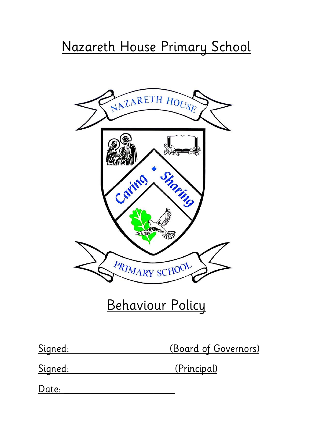# Nazareth House Primary School



# Behaviour Policy

(Board of Governors)

Signed: (Principal)

Date: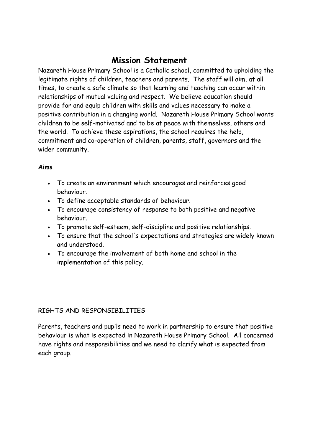## **Mission Statement**

Nazareth House Primary School is a Catholic school, committed to upholding the legitimate rights of children, teachers and parents. The staff will aim, at all times, to create a safe climate so that learning and teaching can occur within relationships of mutual valuing and respect. We believe education should provide for and equip children with skills and values necessary to make a positive contribution in a changing world. Nazareth House Primary School wants children to be self-motivated and to be at peace with themselves, others and the world. To achieve these aspirations, the school requires the help, commitment and co-operation of children, parents, staff, governors and the wider community.

#### **Aims**

- To create an environment which encourages and reinforces good behaviour.
- To define acceptable standards of behaviour.
- To encourage consistency of response to both positive and negative behaviour.
- To promote self-esteem, self-discipline and positive relationships.
- To ensure that the school's expectations and strategies are widely known and understood.
- To encourage the involvement of both home and school in the implementation of this policy.

#### RIGHTS AND RESPONSIBILITIES

Parents, teachers and pupils need to work in partnership to ensure that positive behaviour is what is expected in Nazareth House Primary School. All concerned have rights and responsibilities and we need to clarify what is expected from each group.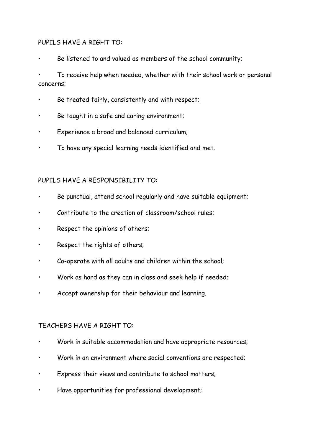#### PUPILS HAVE A RIGHT TO:

Be listened to and valued as members of the school community;

• To receive help when needed, whether with their school work or personal concerns;

- Be treated fairly, consistently and with respect;
- Be taught in a safe and caring environment;
- Experience a broad and balanced curriculum;
- To have any special learning needs identified and met.

#### PUPILS HAVE A RESPONSIBILITY TO:

- Be punctual, attend school regularly and have suitable equipment;
- Contribute to the creation of classroom/school rules;
- Respect the opinions of others;
- Respect the rights of others;
- Co-operate with all adults and children within the school;
- Work as hard as they can in class and seek help if needed;
- Accept ownership for their behaviour and learning.

#### TEACHERS HAVE A RIGHT TO:

- Work in suitable accommodation and have appropriate resources;
- Work in an environment where social conventions are respected;
- Express their views and contribute to school matters;
- Have opportunities for professional development;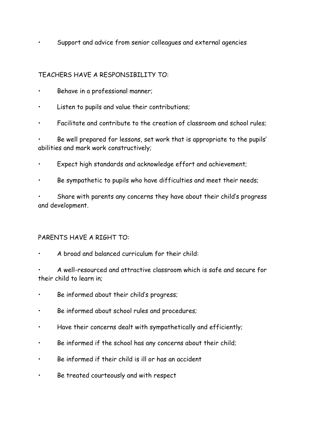• Support and advice from senior colleagues and external agencies

#### TEACHERS HAVE A RESPONSIBILITY TO:

- Behave in a professional manner;
- Listen to pupils and value their contributions;
- Facilitate and contribute to the creation of classroom and school rules;

• Be well prepared for lessons, set work that is appropriate to the pupils' abilities and mark work constructively;

- Expect high standards and acknowledge effort and achievement;
- Be sympathetic to pupils who have difficulties and meet their needs;

• Share with parents any concerns they have about their child's progress and development.

#### PARENTS HAVE A RIGHT TO:

• A broad and balanced curriculum for their child:

• A well-resourced and attractive classroom which is safe and secure for their child to learn in;

- Be informed about their child's progress;
- Be informed about school rules and procedures;
- Have their concerns dealt with sympathetically and efficiently;
- Be informed if the school has any concerns about their child;
- Be informed if their child is ill or has an accident
- Be treated courteously and with respect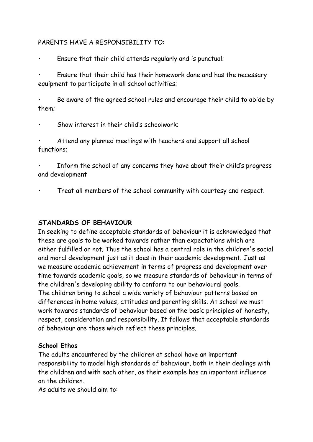#### PARENTS HAVE A RESPONSIBILITY TO:

• Ensure that their child attends regularly and is punctual;

• Ensure that their child has their homework done and has the necessary equipment to participate in all school activities;

• Be aware of the agreed school rules and encourage their child to abide by them;

Show interest in their child's schoolwork;

• Attend any planned meetings with teachers and support all school functions;

Inform the school of any concerns they have about their child's progress and development

• Treat all members of the school community with courtesy and respect.

#### **STANDARDS OF BEHAVIOUR**

In seeking to define acceptable standards of behaviour it is acknowledged that these are goals to be worked towards rather than expectations which are either fulfilled or not. Thus the school has a central role in the children's social and moral development just as it does in their academic development. Just as we measure academic achievement in terms of progress and development over time towards academic goals, so we measure standards of behaviour in terms of the children's developing ability to conform to our behavioural goals. The children bring to school a wide variety of behaviour patterns based on differences in home values, attitudes and parenting skills. At school we must work towards standards of behaviour based on the basic principles of honesty, respect, consideration and responsibility. It follows that acceptable standards of behaviour are those which reflect these principles.

#### **School Ethos**

The adults encountered by the children at school have an important responsibility to model high standards of behaviour, both in their dealings with the children and with each other, as their example has an important influence on the children.

As adults we should aim to: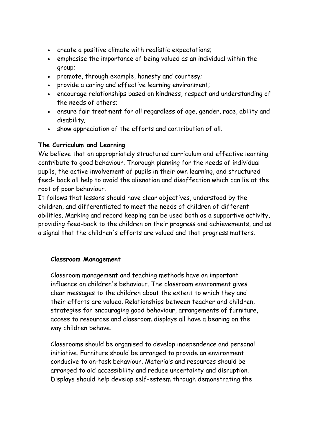- create a positive climate with realistic expectations;
- emphasise the importance of being valued as an individual within the group;
- promote, through example, honesty and courtesy;
- provide a caring and effective learning environment;
- encourage relationships based on kindness, respect and understanding of the needs of others;
- ensure fair treatment for all regardless of age, gender, race, ability and disability;
- show appreciation of the efforts and contribution of all.

#### **The Curriculum and Learning**

We believe that an appropriately structured curriculum and effective learning contribute to good behaviour. Thorough planning for the needs of individual pupils, the active involvement of pupils in their own learning, and structured feed- back all help to avoid the alienation and disaffection which can lie at the root of poor behaviour.

It follows that lessons should have clear objectives, understood by the children, and differentiated to meet the needs of children of different abilities. Marking and record keeping can be used both as a supportive activity, providing feed-back to the children on their progress and achievements, and as a signal that the children's efforts are valued and that progress matters.

#### **Classroom Management**

Classroom management and teaching methods have an important influence on children's behaviour. The classroom environment gives clear messages to the children about the extent to which they and their efforts are valued. Relationships between teacher and children, strategies for encouraging good behaviour, arrangements of furniture, access to resources and classroom displays all have a bearing on the way children behave.

Classrooms should be organised to develop independence and personal initiative. Furniture should be arranged to provide an environment conducive to on-task behaviour. Materials and resources should be arranged to aid accessibility and reduce uncertainty and disruption. Displays should help develop self-esteem through demonstrating the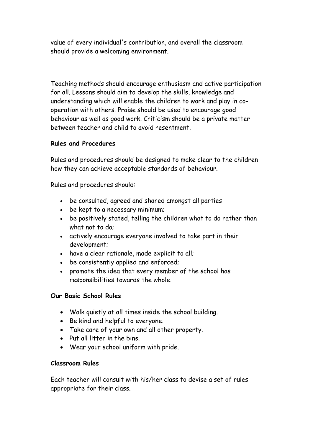value of every individual's contribution, and overall the classroom should provide a welcoming environment.

Teaching methods should encourage enthusiasm and active participation for all. Lessons should aim to develop the skills, knowledge and understanding which will enable the children to work and play in cooperation with others. Praise should be used to encourage good behaviour as well as good work. Criticism should be a private matter between teacher and child to avoid resentment.

#### **Rules and Procedures**

Rules and procedures should be designed to make clear to the children how they can achieve acceptable standards of behaviour.

Rules and procedures should:

- be consulted, agreed and shared amongst all parties
- be kept to a necessary minimum;
- be positively stated, telling the children what to do rather than what not to do;
- actively encourage everyone involved to take part in their development;
- have a clear rationale, made explicit to all;
- be consistently applied and enforced;
- promote the idea that every member of the school has responsibilities towards the whole.

#### **Our Basic School Rules**

- Walk quietly at all times inside the school building.
- Be kind and helpful to everyone.
- Take care of your own and all other property.
- Put all litter in the bins.
- Wear your school uniform with pride.

#### **Classroom Rules**

Each teacher will consult with his/her class to devise a set of rules appropriate for their class.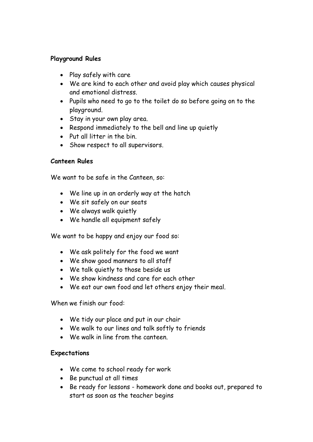#### **Playground Rules**

- Play safely with care
- We are kind to each other and avoid play which causes physical and emotional distress.
- Pupils who need to go to the toilet do so before going on to the playground.
- Stay in your own play area.
- Respond immediately to the bell and line up quietly
- Put all litter in the bin.
- Show respect to all supervisors.

#### **Canteen Rules**

We want to be safe in the Canteen, so:

- We line up in an orderly way at the hatch
- We sit safely on our seats
- We always walk quietly
- We handle all equipment safely

We want to be happy and enjoy our food so:

- We ask politely for the food we want
- We show good manners to all staff
- We talk quietly to those beside us
- We show kindness and care for each other
- We eat our own food and let others enjoy their meal.

When we finish our food:

- We tidy our place and put in our chair
- We walk to our lines and talk softly to friends
- We walk in line from the canteen

#### **Expectations**

- We come to school ready for work
- Be punctual at all times
- Be ready for lessons homework done and books out, prepared to start as soon as the teacher begins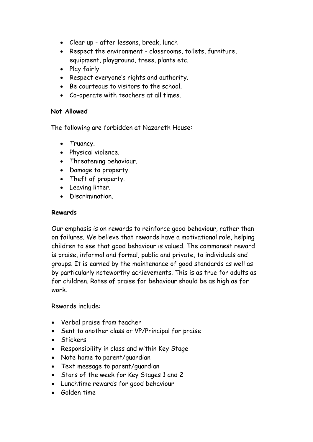- Clear up after lessons, break, lunch
- Respect the environment classrooms, toilets, furniture, equipment, playground, trees, plants etc.
- Play fairly.
- Respect everyone's rights and authority.
- Be courteous to visitors to the school.
- Co-operate with teachers at all times.

#### **Not Allowed**

The following are forbidden at Nazareth House:

- Truancy.
- Physical violence.
- Threatening behaviour.
- Damage to property.
- Theft of property.
- Leaving litter.
- Discrimination.

#### **Rewards**

Our emphasis is on rewards to reinforce good behaviour, rather than on failures. We believe that rewards have a motivational role, helping children to see that good behaviour is valued. The commonest reward is praise, informal and formal, public and private, to individuals and groups. It is earned by the maintenance of good standards as well as by particularly noteworthy achievements. This is as true for adults as for children. Rates of praise for behaviour should be as high as for work.

Rewards include:

- Verbal praise from teacher
- Sent to another class or VP/Principal for praise
- Stickers
- Responsibility in class and within Key Stage
- Note home to parent/quardian
- Text message to parent/guardian
- Stars of the week for Key Stages 1 and 2
- Lunchtime rewards for good behaviour
- Golden time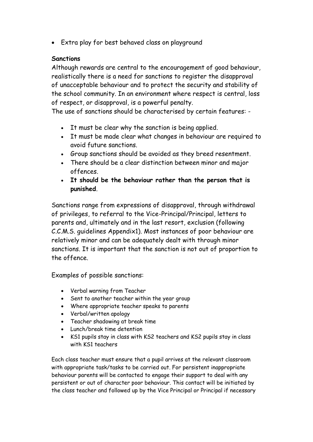Extra play for best behaved class on playground

#### **Sanctions**

Although rewards are central to the encouragement of good behaviour, realistically there is a need for sanctions to register the disapproval of unacceptable behaviour and to protect the security and stability of the school community. In an environment where respect is central, loss of respect, or disapproval, is a powerful penalty.

The use of sanctions should be characterised by certain features: -

- It must be clear why the sanction is being applied.
- It must be made clear what changes in behaviour are required to avoid future sanctions.
- Group sanctions should be avoided as they breed resentment.
- There should be a clear distinction between minor and major offences.
- **It should be the behaviour rather than the person that is punished**.

Sanctions range from expressions of disapproval, through withdrawal of privileges, to referral to the Vice-Principal/Principal, letters to parents and, ultimately and in the last resort, exclusion (following C.C.M.S. guidelines Appendix1). Most instances of poor behaviour are relatively minor and can be adequately dealt with through minor sanctions. It is important that the sanction is not out of proportion to the offence.

Examples of possible sanctions:

- Verbal warning from Teacher
- Sent to another teacher within the year group
- Where appropriate teacher speaks to parents
- Verbal/written apology
- Teacher shadowing at break time
- Lunch/break time detention
- KS1 pupils stay in class with KS2 teachers and KS2 pupils stay in class with KS1 teachers

Each class teacher must ensure that a pupil arrives at the relevant classroom with appropriate task/tasks to be carried out. For persistent inappropriate behaviour parents will be contacted to engage their support to deal with any persistent or out of character poor behaviour. This contact will be initiated by the class teacher and followed up by the Vice Principal or Principal if necessary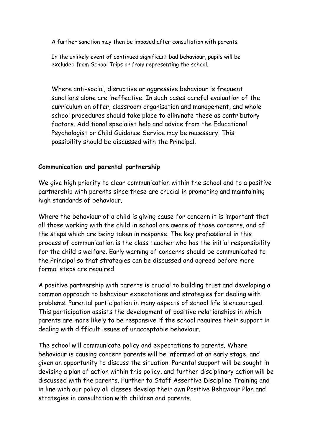A further sanction may then be imposed after consultation with parents.

In the unlikely event of continued significant bad behaviour, pupils will be excluded from School Trips or from representing the school.

Where anti-social, disruptive or aggressive behaviour is frequent sanctions alone are ineffective. In such cases careful evaluation of the curriculum on offer, classroom organisation and management, and whole school procedures should take place to eliminate these as contributory factors. Additional specialist help and advice from the Educational Psychologist or Child Guidance Service may be necessary. This possibility should be discussed with the Principal.

#### **Communication and parental partnership**

We give high priority to clear communication within the school and to a positive partnership with parents since these are crucial in promoting and maintaining high standards of behaviour.

Where the behaviour of a child is giving cause for concern it is important that all those working with the child in school are aware of those concerns, and of the steps which are being taken in response. The key professional in this process of communication is the class teacher who has the initial responsibility for the child's welfare. Early warning of concerns should be communicated to the Principal so that strategies can be discussed and agreed before more formal steps are required.

A positive partnership with parents is crucial to building trust and developing a common approach to behaviour expectations and strategies for dealing with problems. Parental participation in many aspects of school life is encouraged. This participation assists the development of positive relationships in which parents are more likely to be responsive if the school requires their support in dealing with difficult issues of unacceptable behaviour.

The school will communicate policy and expectations to parents. Where behaviour is causing concern parents will be informed at an early stage, and given an opportunity to discuss the situation. Parental support will be sought in devising a plan of action within this policy, and further disciplinary action will be discussed with the parents. Further to Staff Assertive Discipline Training and in line with our policy all classes develop their own Positive Behaviour Plan and strategies in consultation with children and parents.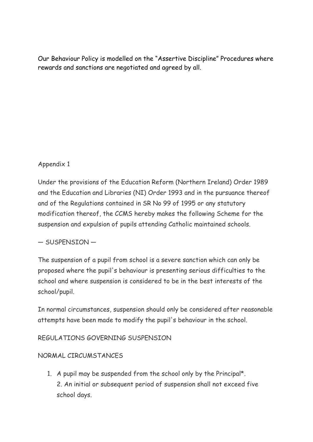Our Behaviour Policy is modelled on the "Assertive Discipline" Procedures where rewards and sanctions are negotiated and agreed by all.

## Appendix 1

Under the provisions of the Education Reform (Northern Ireland) Order 1989 and the Education and Libraries (NI) Order 1993 and in the pursuance thereof and of the Regulations contained in SR No 99 of 1995 or any statutory modification thereof, the CCMS hereby makes the following Scheme for the suspension and expulsion of pupils attending Catholic maintained schools.

## — SUSPENSION —

The suspension of a pupil from school is a severe sanction which can only be proposed where the pupil's behaviour is presenting serious difficulties to the school and where suspension is considered to be in the best interests of the school/pupil.

In normal circumstances, suspension should only be considered after reasonable attempts have been made to modify the pupil's behaviour in the school.

## REGULATIONS GOVERNING SUSPENSION

## NORMAL CIRCUMSTANCES

1. A pupil may be suspended from the school only by the Principal\*. 2. An initial or subsequent period of suspension shall not exceed five school days.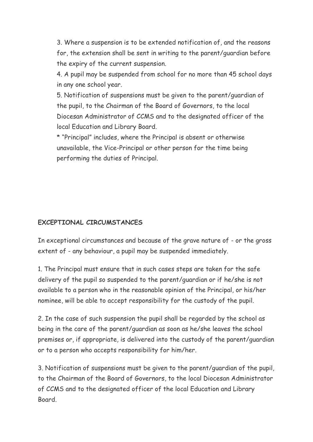3. Where a suspension is to be extended notification of, and the reasons for, the extension shall be sent in writing to the parent/guardian before the expiry of the current suspension.

4. A pupil may be suspended from school for no more than 45 school days in any one school year.

5. Notification of suspensions must be given to the parent/guardian of the pupil, to the Chairman of the Board of Governors, to the local Diocesan Administrator of CCMS and to the designated officer of the local Education and Library Board.

\* "Principal" includes, where the Principal is absent or otherwise unavailable, the Vice-Principal or other person for the time being performing the duties of Principal.

#### **EXCEPTIONAL CIRCUMSTANCES**

In exceptional circumstances and because of the grave nature of - or the gross extent of - any behaviour, a pupil may be suspended immediately.

1. The Principal must ensure that in such cases steps are taken for the safe delivery of the pupil so suspended to the parent/guardian or if he/she is not available to a person who in the reasonable opinion of the Principal, or his/her nominee, will be able to accept responsibility for the custody of the pupil.

2. In the case of such suspension the pupil shall be regarded by the school as being in the care of the parent/guardian as soon as he/she leaves the school premises or, if appropriate, is delivered into the custody of the parent/guardian or to a person who accepts responsibility for him/her.

3. Notification of suspensions must be given to the parent/guardian of the pupil, to the Chairman of the Board of Governors, to the local Diocesan Administrator of CCMS and to the designated officer of the local Education and Library Board.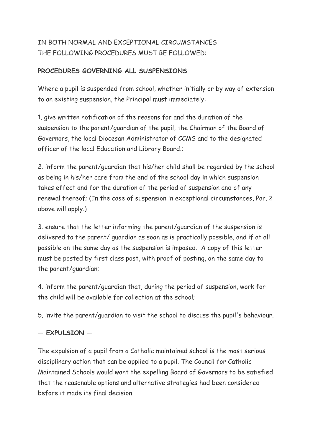## IN BOTH NORMAL AND EXCEPTIONAL CIRCUMSTANCES THE FOLLOWING PROCEDURES MUST BE FOLLOWED:

### **PROCEDURES GOVERNING ALL SUSPENSIONS**

Where a pupil is suspended from school, whether initially or by way of extension to an existing suspension, the Principal must immediately:

1. give written notification of the reasons for and the duration of the suspension to the parent/guardian of the pupil, the Chairman of the Board of Governors, the local Diocesan Administrator of CCMS and to the designated officer of the local Education and Library Board.;

2. inform the parent/guardian that his/her child shall be regarded by the school as being in his/her care from the end of the school day in which suspension takes effect and for the duration of the period of suspension and of any renewal thereof; (In the case of suspension in exceptional circumstances, Par. 2 above will apply.)

3. ensure that the letter informing the parent/guardian of the suspension is delivered to the parent/ guardian as soon as is practically possible, and if at all possible on the same day as the suspension is imposed. A copy of this letter must be posted by first class post, with proof of posting, on the same day to the parent/guardian;

4. inform the parent/guardian that, during the period of suspension, work for the child will be available for collection at the school;

5. invite the parent/guardian to visit the school to discuss the pupil's behaviour.

#### **— EXPULSION —**

The expulsion of a pupil from a Catholic maintained school is the most serious disciplinary action that can be applied to a pupil. The Council for Catholic Maintained Schools would want the expelling Board of Governors to be satisfied that the reasonable options and alternative strategies had been considered before it made its final decision.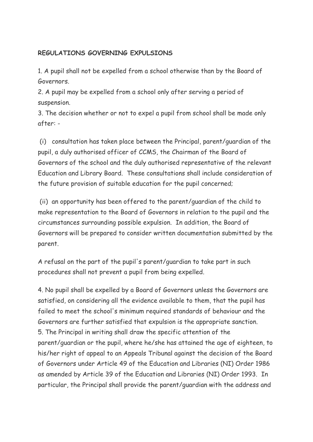## **REGULATIONS GOVERNING EXPULSIONS**

1. A pupil shall not be expelled from a school otherwise than by the Board of Governors.

2. A pupil may be expelled from a school only after serving a period of suspension.

3. The decision whether or not to expel a pupil from school shall be made only after: -

(i) consultation has taken place between the Principal, parent/guardian of the pupil, a duly authorised officer of CCMS, the Chairman of the Board of Governors of the school and the duly authorised representative of the relevant Education and Library Board. These consultations shall include consideration of the future provision of suitable education for the pupil concerned;

(ii) an opportunity has been offered to the parent/guardian of the child to make representation to the Board of Governors in relation to the pupil and the circumstances surrounding possible expulsion. In addition, the Board of Governors will be prepared to consider written documentation submitted by the parent.

A refusal on the part of the pupil's parent/guardian to take part in such procedures shall not prevent a pupil from being expelled.

4. No pupil shall be expelled by a Board of Governors unless the Governors are satisfied, on considering all the evidence available to them, that the pupil has failed to meet the school's minimum required standards of behaviour and the Governors are further satisfied that expulsion is the appropriate sanction. 5. The Principal in writing shall draw the specific attention of the parent/guardian or the pupil, where he/she has attained the age of eighteen, to his/her right of appeal to an Appeals Tribunal against the decision of the Board of Governors under Article 49 of the Education and Libraries (NI) Order 1986 as amended by Article 39 of the Education and Libraries (NI) Order 1993. In particular, the Principal shall provide the parent/guardian with the address and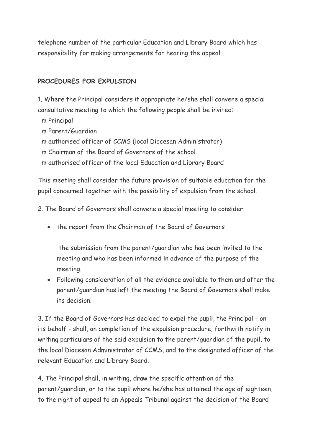telephone number of the particular Education and Library Board which has responsibility for making arrangements for hearing the appeal.

#### **PROCEDURES FOR EXPULSION**

1. Where the Principal considers it appropriate he/she shall convene a special consultative meeting to which the following people shall be invited:

m Principal

m Parent/Guardian

m authorised officer of CCMS (local Diocesan Administrator)

m Chairman of the Board of Governors of the school

m authorised officer of the local Education and Library Board

This meeting shall consider the future provision of suitable education for the pupil concerned together with the possibility of expulsion from the school.

2. The Board of Governors shall convene a special meeting to consider

• the report from the Chairman of the Board of Governors

the submission from the parent/guardian who has been invited to the meeting and who has been informed in advance of the purpose of the meeting.

 Following consideration of all the evidence available to them and after the parent/guardian has left the meeting the Board of Governors shall make its decision.

3. If the Board of Governors has decided to expel the pupil, the Principal - on its behalf - shall, on completion of the expulsion procedure, forthwith notify in writing particulars of the said expulsion to the parent/guardian of the pupil, to the local Diocesan Administrator of CCMS, and to the designated officer of the relevant Education and Library Board.

4. The Principal shall, in writing, draw the specific attention of the parent/guardian, or to the pupil where he/she has attained the age of eighteen, to the right of appeal to an Appeals Tribunal against the decision of the Board